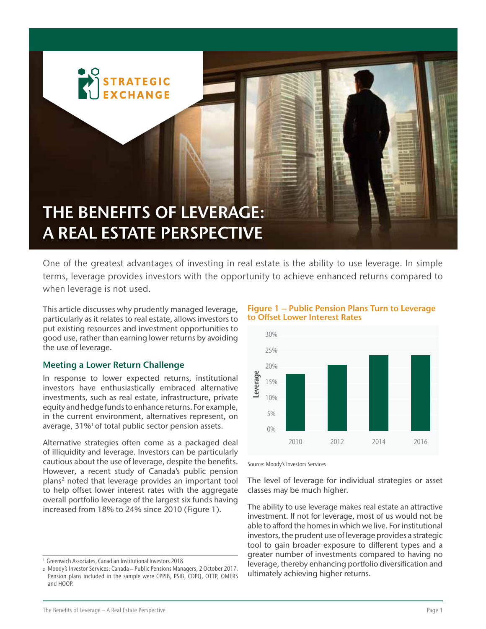

One of the greatest advantages of investing in real estate is the ability to use leverage. In simple terms, leverage provides investors with the opportunity to achieve enhanced returns compared to when leverage is not used.

This article discusses why prudently managed leverage, particularly as it relates to real estate, allows investors to put existing resources and investment opportunities to good use, rather than earning lower returns by avoiding the use of leverage.

## Meeting a Lower Return Challenge

In response to lower expected returns, institutional investors have enthusiastically embraced alternative investments, such as real estate, infrastructure, private equity and hedge funds to enhance returns. For example, in the current environment, alternatives represent, on average, 31%<sup>1</sup> of total public sector pension assets.

Alternative strategies often come as a packaged deal of illiquidity and leverage. Investors can be particularly cautious about the use of leverage, despite the benefits. However, a recent study of Canada's public pension plans2 noted that leverage provides an important tool to help offset lower interest rates with the aggregate overall portfolio leverage of the largest six funds having increased from 18% to 24% since 2010 (Figure 1).

Figure 1 – Public Pension Plans Turn to Leverage to Offset Lower Interest Rates



Source: Moody's Investors Services

The level of leverage for individual strategies or asset classes may be much higher.

The ability to use leverage makes real estate an attractive investment. If not for leverage, most of us would not be able to afford the homes in which we live. For institutional investors, the prudent use of leverage provides a strategic tool to gain broader exposure to different types and a greater number of investments compared to having no leverage, thereby enhancing portfolio diversification and ultimately achieving higher returns.

<sup>&</sup>lt;sup>1</sup> Greenwich Associates, Canadian Institutional Investors 2018

<sup>2</sup> Moody's Investor Services: Canada – Public Pensions Managers, 2 October 2017. Pension plans included in the sample were CPPIB, PSIB, CDPQ, OTTP, OMERS and HOOP.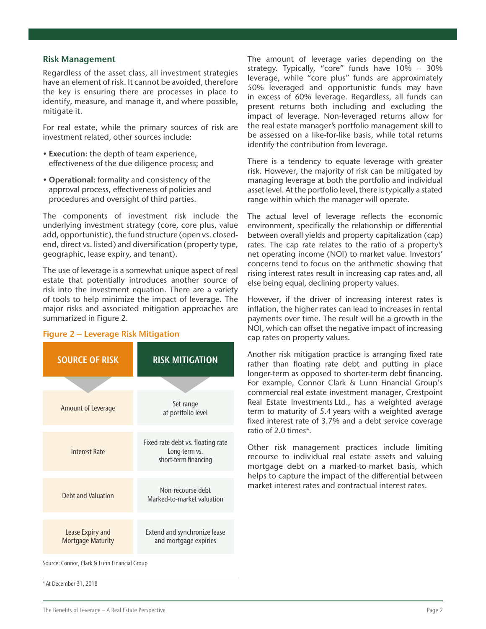### Risk Management

Regardless of the asset class, all investment strategies have an element of risk. It cannot be avoided, therefore the key is ensuring there are processes in place to identify, measure, and manage it, and where possible, mitigate it.

For real estate, while the primary sources of risk are investment related, other sources include:

- Execution: the depth of team experience, effectiveness of the due diligence process; and
- Operational: formality and consistency of the approval process, effectiveness of policies and procedures and oversight of third parties.

The components of investment risk include the underlying investment strategy (core, core plus, value add, opportunistic), the fund structure (open vs. closedend, direct vs. listed) and diversification (property type, geographic, lease expiry, and tenant).

The use of leverage is a somewhat unique aspect of real estate that potentially introduces another source of risk into the investment equation. There are a variety of tools to help minimize the impact of leverage. The major risks and associated mitigation approaches are summarized in Figure 2.

# Amount of Leverage Set range at portfolio level Interest Rate Fixed rate debt vs. floating rate Long-term vs. short-term financing Debt and Valuation Non-recourse debt Marked-to-market valuation Lease Expiry and Mortgage Maturity Extend and synchronize lease and mortgage expiries SOURCE OF RISK **RISK RISK MITIGATION**

#### Figure 2 – Leverage Risk Mitigation

The amount of leverage varies depending on the strategy. Typically, "core" funds have 10% – 30% leverage, while "core plus" funds are approximately 50% leveraged and opportunistic funds may have in excess of 60% leverage. Regardless, all funds can present returns both including and excluding the impact of leverage. Non-leveraged returns allow for the real estate manager's portfolio management skill to be assessed on a like-for-like basis, while total returns identify the contribution from leverage.

There is a tendency to equate leverage with greater risk. However, the majority of risk can be mitigated by managing leverage at both the portfolio and individual asset level. At the portfolio level, there is typically a stated range within which the manager will operate.

The actual level of leverage reflects the economic environment, specifically the relationship or differential between overall yields and property capitalization (cap) rates. The cap rate relates to the ratio of a property's net operating income (NOI) to market value. Investors' concerns tend to focus on the arithmetic showing that rising interest rates result in increasing cap rates and, all else being equal, declining property values.

However, if the driver of increasing interest rates is inflation, the higher rates can lead to increases in rental payments over time. The result will be a growth in the NOI, which can offset the negative impact of increasing cap rates on property values.

Another risk mitigation practice is arranging fixed rate rather than floating rate debt and putting in place longer-term as opposed to shorter-term debt financing. For example, Connor Clark & Lunn Financial Group's commercial real estate investment manager, Crestpoint Real Estate Investments Ltd., has a weighted average term to maturity of 5.4 years with a weighted average fixed interest rate of 3.7% and a debt service coverage ratio of 2.0 times<sup>4</sup>.

Other risk management practices include limiting recourse to individual real estate assets and valuing mortgage debt on a marked-to-market basis, which helps to capture the impact of the differential between market interest rates and contractual interest rates.

Source: Connor, Clark & Lunn Financial Group

4 At December 31, 2018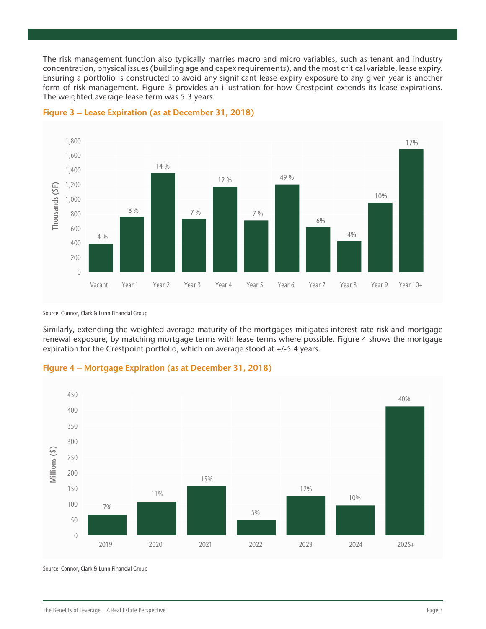The risk management function also typically marries macro and micro variables, such as tenant and industry concentration, physical issues (building age and capex requirements), and the most critical variable, lease expiry. Ensuring a portfolio is constructed to avoid any significant lease expiry exposure to any given year is another form of risk management. Figure 3 provides an illustration for how Crestpoint extends its lease expirations. The weighted average lease term was 5.3 years.



Figure 3 – Lease Expiration (as at December 31, 2018)

Source: Connor, Clark & Lunn Financial Group

Similarly, extending the weighted average maturity of the mortgages mitigates interest rate risk and mortgage renewal exposure, by matching mortgage terms with lease terms where possible. Figure 4 shows the mortgage expiration for the Crestpoint portfolio, which on average stood at +/-5.4 years.





Source: Connor, Clark & Lunn Financial Group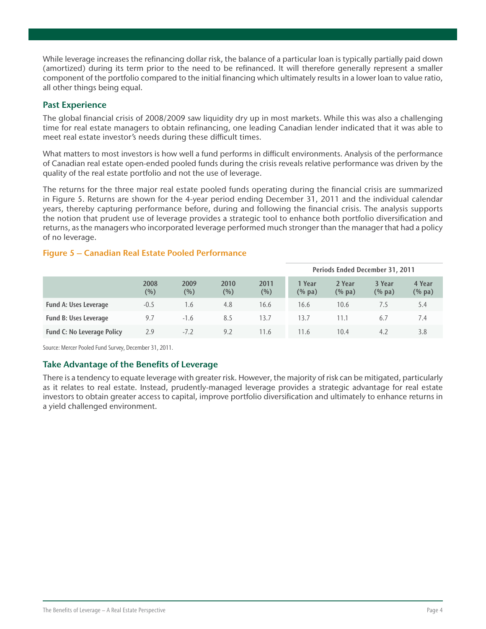While leverage increases the refinancing dollar risk, the balance of a particular loan is typically partially paid down (amortized) during its term prior to the need to be refinanced. It will therefore generally represent a smaller component of the portfolio compared to the initial financing which ultimately results in a lower loan to value ratio, all other things being equal.

# Past Experience

The global financial crisis of 2008/2009 saw liquidity dry up in most markets. While this was also a challenging time for real estate managers to obtain refinancing, one leading Canadian lender indicated that it was able to meet real estate investor's needs during these difficult times.

What matters to most investors is how well a fund performs in difficult environments. Analysis of the performance of Canadian real estate open-ended pooled funds during the crisis reveals relative performance was driven by the quality of the real estate portfolio and not the use of leverage.

The returns for the three major real estate pooled funds operating during the financial crisis are summarized in Figure 5. Returns are shown for the 4-year period ending December 31, 2011 and the individual calendar years, thereby capturing performance before, during and following the financial crisis. The analysis supports the notion that prudent use of leverage provides a strategic tool to enhance both portfolio diversification and returns, as the managers who incorporated leverage performed much stronger than the manager that had a policy of no leverage.

|                                   |                |                |                |                 | Periods Ended December 31, 2011   |                     |                     |                        |  |
|-----------------------------------|----------------|----------------|----------------|-----------------|-----------------------------------|---------------------|---------------------|------------------------|--|
|                                   | 2008<br>$(\%)$ | 2009<br>$(\%)$ | 2010<br>$(\%)$ | 2011<br>$(\% )$ | 1 Year<br>$(% \mathbf{a})$ (% pa) | 2 Year<br>$(\%$ pa) | 3 Year<br>$(\%$ pa) | 4 Year<br>$(%$ $%$ pa) |  |
| <b>Fund A: Uses Leverage</b>      | $-0.5$         | 1.6            | 4.8            | 16.6            | 16.6                              | 10.6                | 7.5                 | 5.4                    |  |
| <b>Fund B: Uses Leverage</b>      | 9.7            | $-1.6$         | 8.5            | 13.7            | 13.7                              | 11.1                | 6.7                 | /0.4                   |  |
| <b>Fund C: No Leverage Policy</b> | 2.9            | $-7.2$         | 9.2            | 11.6            | 11.6                              | 10.4                | 4.2                 | 3.8                    |  |

## Figure 5 – Canadian Real Estate Pooled Performance

Source: Mercer Pooled Fund Survey, December 31, 2011.

# Take Advantage of the Benefits of Leverage

There is a tendency to equate leverage with greater risk. However, the majority of risk can be mitigated, particularly as it relates to real estate. Instead, prudently-managed leverage provides a strategic advantage for real estate investors to obtain greater access to capital, improve portfolio diversification and ultimately to enhance returns in a yield challenged environment.